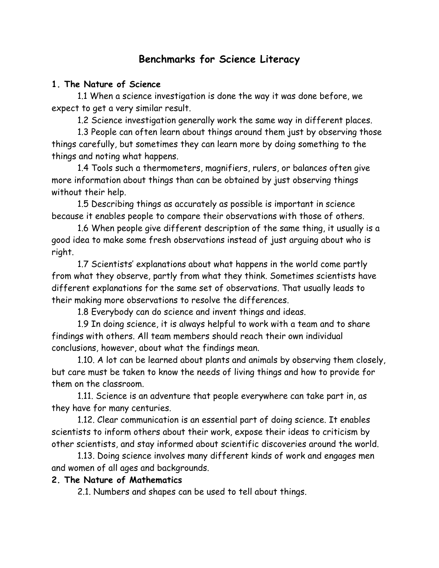# **Benchmarks for Science Literacy**

### **1. The Nature of Science**

 1.1 When a science investigation is done the way it was done before, we expect to get a very similar result.

1.2 Science investigation generally work the same way in different places.

 1.3 People can often learn about things around them just by observing those things carefully, but sometimes they can learn more by doing something to the things and noting what happens.

 1.4 Tools such a thermometers, magnifiers, rulers, or balances often give more information about things than can be obtained by just observing things without their help.

 1.5 Describing things as accurately as possible is important in science because it enables people to compare their observations with those of others.

 1.6 When people give different description of the same thing, it usually is a good idea to make some fresh observations instead of just arguing about who is right.

 1.7 Scientists' explanations about what happens in the world come partly from what they observe, partly from what they think. Sometimes scientists have different explanations for the same set of observations. That usually leads to their making more observations to resolve the differences.

1.8 Everybody can do science and invent things and ideas.

 1.9 In doing science, it is always helpful to work with a team and to share findings with others. All team members should reach their own individual conclusions, however, about what the findings mean.

 1.10. A lot can be learned about plants and animals by observing them closely, but care must be taken to know the needs of living things and how to provide for them on the classroom.

 1.11. Science is an adventure that people everywhere can take part in, as they have for many centuries.

 1.12. Clear communication is an essential part of doing science. It enables scientists to inform others about their work, expose their ideas to criticism by other scientists, and stay informed about scientific discoveries around the world.

 1.13. Doing science involves many different kinds of work and engages men and women of all ages and backgrounds.

## **2. The Nature of Mathematics**

2.1. Numbers and shapes can be used to tell about things.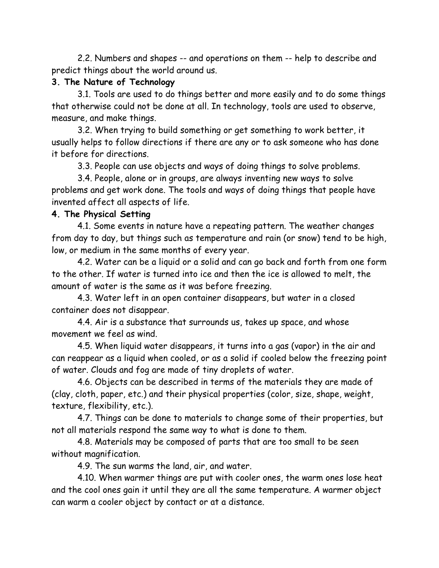2.2. Numbers and shapes -- and operations on them -- help to describe and predict things about the world around us.

#### **3. The Nature of Technology**

 3.1. Tools are used to do things better and more easily and to do some things that otherwise could not be done at all. In technology, tools are used to observe, measure, and make things.

 3.2. When trying to build something or get something to work better, it usually helps to follow directions if there are any or to ask someone who has done it before for directions.

3.3. People can use objects and ways of doing things to solve problems.

 3.4. People, alone or in groups, are always inventing new ways to solve problems and get work done. The tools and ways of doing things that people have invented affect all aspects of life.

### **4. The Physical Setting**

 4.1. Some events in nature have a repeating pattern. The weather changes from day to day, but things such as temperature and rain (or snow) tend to be high, low, or medium in the same months of every year.

 4.2. Water can be a liquid or a solid and can go back and forth from one form to the other. If water is turned into ice and then the ice is allowed to melt, the amount of water is the same as it was before freezing.

 4.3. Water left in an open container disappears, but water in a closed container does not disappear.

 4.4. Air is a substance that surrounds us, takes up space, and whose movement we feel as wind.

 4.5. When liquid water disappears, it turns into a gas (vapor) in the air and can reappear as a liquid when cooled, or as a solid if cooled below the freezing point of water. Clouds and fog are made of tiny droplets of water.

 4.6. Objects can be described in terms of the materials they are made of (clay, cloth, paper, etc.) and their physical properties (color, size, shape, weight, texture, flexibility, etc.).

 4.7. Things can be done to materials to change some of their properties, but not all materials respond the same way to what is done to them.

 4.8. Materials may be composed of parts that are too small to be seen without magnification.

4.9. The sun warms the land, air, and water.

 4.10. When warmer things are put with cooler ones, the warm ones lose heat and the cool ones gain it until they are all the same temperature. A warmer object can warm a cooler object by contact or at a distance.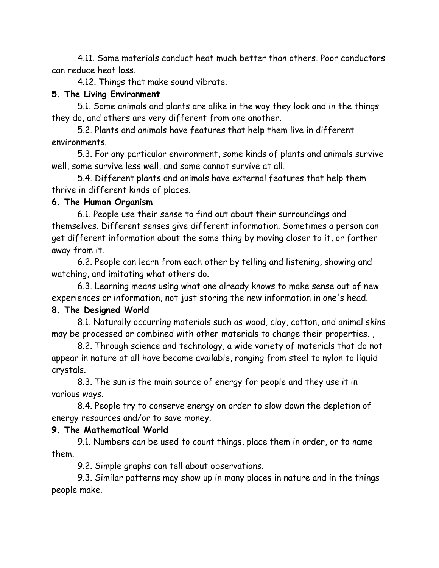4.11. Some materials conduct heat much better than others. Poor conductors can reduce heat loss.

4.12. Things that make sound vibrate.

#### **5. The Living Environment**

 5.1. Some animals and plants are alike in the way they look and in the things they do, and others are very different from one another.

 5.2. Plants and animals have features that help them live in different environments.

 5.3. For any particular environment, some kinds of plants and animals survive well, some survive less well, and some cannot survive at all.

 5.4. Different plants and animals have external features that help them thrive in different kinds of places.

#### **6. The Human Organism**

 6.1. People use their sense to find out about their surroundings and themselves. Different senses give different information. Sometimes a person can get different information about the same thing by moving closer to it, or farther away from it.

 6.2. People can learn from each other by telling and listening, showing and watching, and imitating what others do.

 6.3. Learning means using what one already knows to make sense out of new experiences or information, not just storing the new information in one's head.

#### **8. The Designed World**

 8.1. Naturally occurring materials such as wood, clay, cotton, and animal skins may be processed or combined with other materials to change their properties. ,

 8.2. Through science and technology, a wide variety of materials that do not appear in nature at all have become available, ranging from steel to nylon to liquid crystals.

 8.3. The sun is the main source of energy for people and they use it in various ways.

 8.4. People try to conserve energy on order to slow down the depletion of energy resources and/or to save money.

#### **9. The Mathematical World**

 9.1. Numbers can be used to count things, place them in order, or to name them.

9.2. Simple graphs can tell about observations.

 9.3. Similar patterns may show up in many places in nature and in the things people make.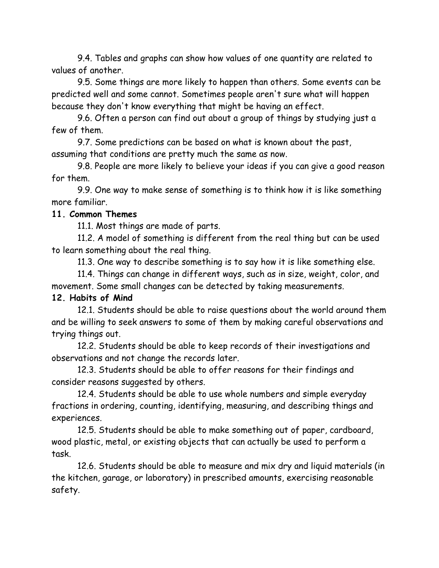9.4. Tables and graphs can show how values of one quantity are related to values of another.

 9.5. Some things are more likely to happen than others. Some events can be predicted well and some cannot. Sometimes people aren't sure what will happen because they don't know everything that might be having an effect.

 9.6. Often a person can find out about a group of things by studying just a few of them.

 9.7. Some predictions can be based on what is known about the past, assuming that conditions are pretty much the same as now.

 9.8. People are more likely to believe your ideas if you can give a good reason for them.

 9.9. One way to make sense of something is to think how it is like something more familiar.

## **11. Common Themes**

11.1. Most things are made of parts.

 11.2. A model of something is different from the real thing but can be used to learn something about the real thing.

11.3. One way to describe something is to say how it is like something else.

 11.4. Things can change in different ways, such as in size, weight, color, and movement. Some small changes can be detected by taking measurements.

## **12. Habits of Mind**

 12.1. Students should be able to raise questions about the world around them and be willing to seek answers to some of them by making careful observations and trying things out.

 12.2. Students should be able to keep records of their investigations and observations and not change the records later.

 12.3. Students should be able to offer reasons for their findings and consider reasons suggested by others.

 12.4. Students should be able to use whole numbers and simple everyday fractions in ordering, counting, identifying, measuring, and describing things and experiences.

 12.5. Students should be able to make something out of paper, cardboard, wood plastic, metal, or existing objects that can actually be used to perform a task.

 12.6. Students should be able to measure and mix dry and liquid materials (in the kitchen, garage, or laboratory) in prescribed amounts, exercising reasonable safety.